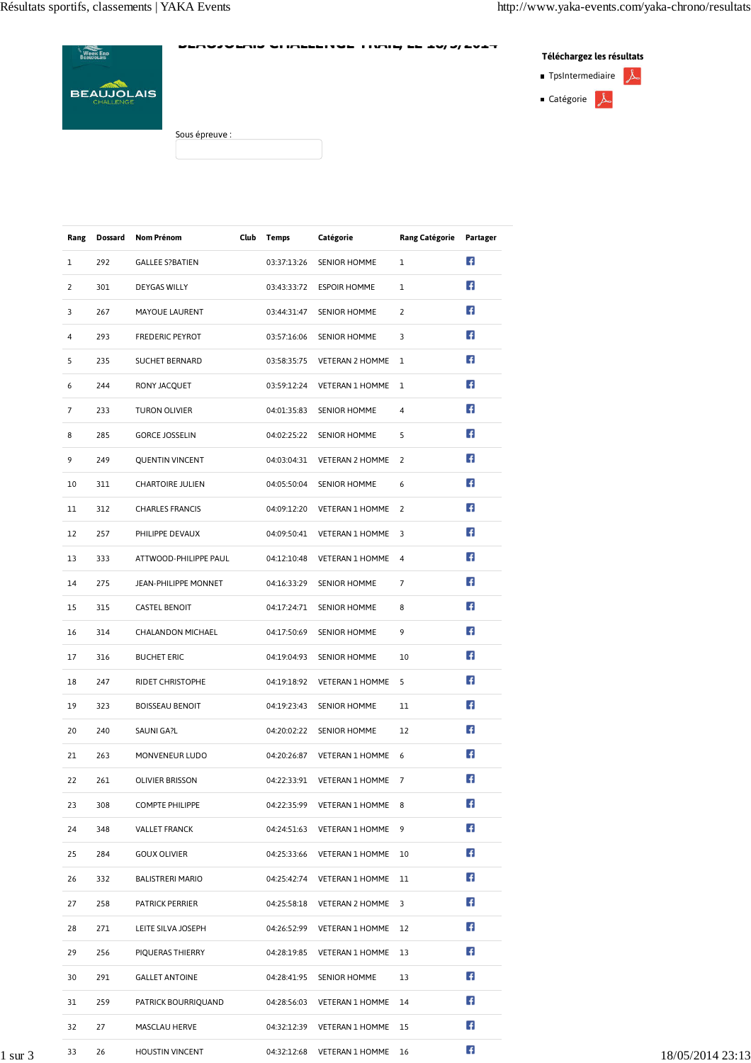| <b>Week Enp</b>                | PERVITTING OF BELIEVE THERE.<br>$J = 7 + T$<br>-- - - | Téléchargez les résultats            |  |  |
|--------------------------------|-------------------------------------------------------|--------------------------------------|--|--|
|                                |                                                       | 太<br>$\blacksquare$ TpsIntermediaire |  |  |
| <b>BEAUJOLAIS</b><br>CHALLENGE |                                                       | Catégorie $\downarrow$               |  |  |
|                                | Sous épreuve :                                        |                                      |  |  |

| Rang           | Dossard | <b>Nom Prénom</b>       | Club Temps  | Catégorie                                 | Rang Catégorie Partager |                |
|----------------|---------|-------------------------|-------------|-------------------------------------------|-------------------------|----------------|
| $\mathbf{1}$   | 292     | <b>GALLEE S?BATIEN</b>  |             | 03:37:13:26 SENIOR HOMME                  | $\mathbf{1}$            | $\overline{f}$ |
| 2              | 301     | DEYGAS WILLY            |             | 03:43:33:72 ESPOIR HOMME                  | $\mathbf{1}$            | Æ              |
| 3              | 267     | MAYOUE LAURENT          |             | 03:44:31:47 SENIOR HOMME                  | $\overline{2}$          | Æ              |
| 4              | 293     | <b>FREDERIC PEYROT</b>  |             | 03:57:16:06 SENIOR HOMME                  | 3                       | Ŧ              |
| 5              | 235     | <b>SUCHET BERNARD</b>   |             | 03:58:35:75    VETERAN 2 HOMME    1       |                         | Æ              |
| 6              | 244     | RONY JACQUET            |             | 03:59:12:24     VETERAN 1     HOMME     1 |                         | Ŧ              |
| $\overline{7}$ | 233     | <b>TURON OLIVIER</b>    |             | 04:01:35:83 SENIOR HOMME                  | 4                       | Æ              |
| 8              | 285     | <b>GORCE JOSSELIN</b>   |             | 04:02:25:22 SENIOR HOMME                  | 5                       | Æ              |
| 9              | 249     | <b>QUENTIN VINCENT</b>  |             | 04:03:04:31    VETERAN 2    HOMME    2    |                         | Ŧ              |
| 10             | 311     | <b>CHARTOIRE JULIEN</b> |             | 04:05:50:04 SENIOR HOMME                  | 6                       | Æ              |
| 11             | 312     | <b>CHARLES FRANCIS</b>  |             | 04:09:12:20 VETERAN 1 HOMME 2             |                         | Æ              |
| 12             | 257     | PHILIPPE DEVAUX         |             | 04:09:50:41    VETERAN 1    HOMME    3    |                         | Ŧ              |
| 13             | 333     | ATTWOOD-PHILIPPE PAUL   |             | 04:12:10:48 VETERAN 1 HOMME 4             |                         | Æ              |
| 14             | 275     | JEAN-PHILIPPE MONNET    |             | 04:16:33:29 SENIOR HOMME                  | $\overline{7}$          | Ŧ              |
| 15             | 315     | <b>CASTEL BENOIT</b>    |             | 04:17:24:71 SENIOR HOMME                  | 8                       | Æ              |
| 16             | 314     | CHALANDON MICHAEL       |             | 04:17:50:69 SENIOR HOMME                  | 9                       | Æ              |
| 17             | 316     | <b>BUCHET ERIC</b>      |             | 04:19:04:93 SENIOR HOMME                  | 10                      | Æ              |
| 18             | 247     | RIDET CHRISTOPHE        |             | 04:19:18:92    VETERAN 1 HOMME    5       |                         | Æ              |
| 19             | 323     | <b>BOISSEAU BENOIT</b>  | 04:19:23:43 | SENIOR HOMME                              | 11                      | Æ,             |
| 20             | 240     | SAUNI GA?L              |             | 04:20:02:22 SENIOR HOMME                  | 12                      | Æ              |
| 21             | 263     | MONVENEUR LUDO          |             | 04:20:26:87 VETERAN 1 HOMME 6             |                         | F.             |
| 22             | 261     | OLIVIER BRISSON         |             | 04:22:33:91    VETERAN    1    HOMME    7 |                         | Ŧ              |
| 23             | 308     | <b>COMPTE PHILIPPE</b>  |             | 04:22:35:99 VETERAN 1 HOMME 8             |                         | Ŧ              |
| 24             | 348     | <b>VALLET FRANCK</b>    |             | 04:24:51:63 VETERAN 1 HOMME 9             |                         | Æ              |
| 25             | 284     | <b>GOUX OLIVIER</b>     |             | 04:25:33:66 VETERAN 1 HOMME 10            |                         | Ŧ              |
| 26             | 332     | <b>BALISTRERI MARIO</b> |             |                                           |                         | Æ              |
| 27             | 258     | <b>PATRICK PERRIER</b>  |             | 04:25:58:18    VETERAN 2 HOMME    3       |                         | Æ              |
| 28             | 271     | LEITE SILVA JOSEPH      |             | 04:26:52:99 VETERAN 1 HOMME 12            |                         | Æ              |
| 29             | 256     | PIQUERAS THIERRY        |             | 04:28:19:85 VETERAN 1 HOMME 13            |                         | Ŧ              |
| 30             | 291     | <b>GALLET ANTOINE</b>   |             | 04:28:41:95 SENIOR HOMME                  | 13                      | Æ              |
| 31             | 259     | PATRICK BOURRIQUAND     |             | 04:28:56:03 VETERAN 1 HOMME 14            |                         | Ŧ              |
| 32             | 27      | MASCLAU HERVE           |             | 04:32:12:39    VETERAN 1    HOMME    15   |                         | Ŧ              |
| 33             | 26      | <b>HOUSTIN VINCENT</b>  |             | 04:32:12:68 VETERAN 1 HOMME 16            |                         | Æ              |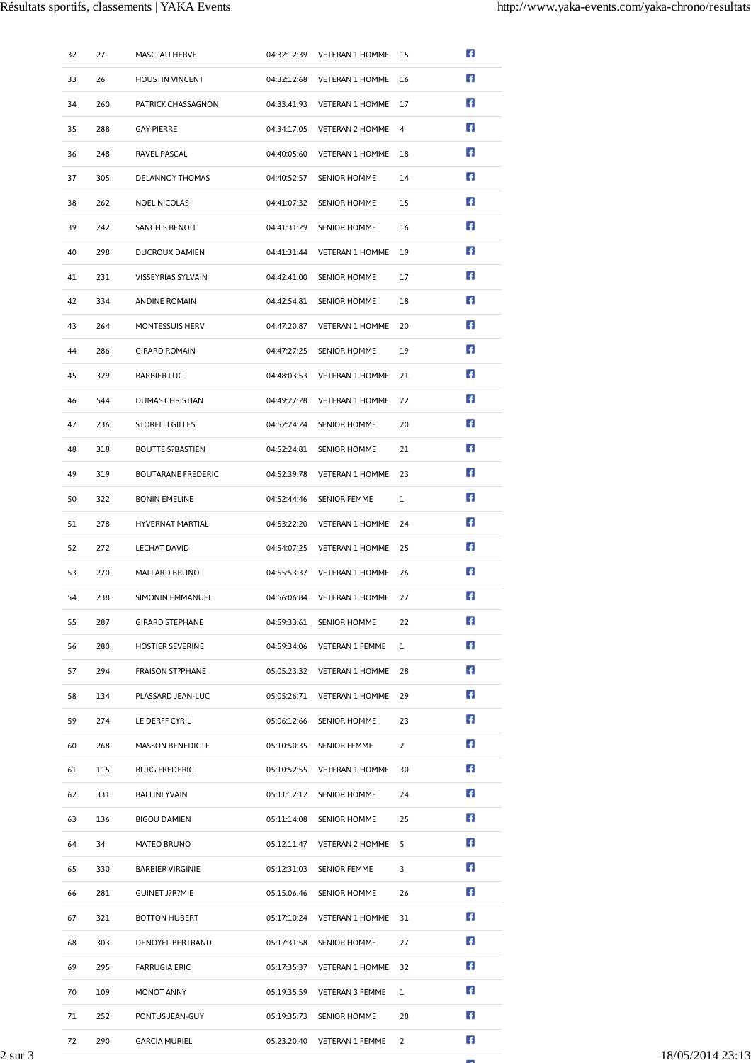|         | 32 | 27  | MASCLAU HERVE             | 04:32:12:39 VETERAN 1 HOMME 15          |                          | Ŧ   |
|---------|----|-----|---------------------------|-----------------------------------------|--------------------------|-----|
|         | 33 | 26  | <b>HOUSTIN VINCENT</b>    | 04:32:12:68 VETERAN 1 HOMME 16          |                          | Ŧ   |
|         | 34 | 260 | PATRICK CHASSAGNON        | 04:33:41:93 VETERAN 1 HOMME 17          |                          | Ŧ   |
|         | 35 | 288 | <b>GAY PIERRE</b>         | 04:34:17:05 VETERAN 2 HOMME 4           |                          | E.  |
|         | 36 | 248 | RAVEL PASCAL              | 04:40:05:60 VETERAN 1 HOMME 18          |                          | Ŧ   |
|         | 37 | 305 | DELANNOY THOMAS           | 04:40:52:57 SENIOR HOMME                | 14                       | Ŧ   |
|         | 38 | 262 | <b>NOEL NICOLAS</b>       | 04:41:07:32 SENIOR HOMME                | 15                       | Æ   |
|         | 39 | 242 | <b>SANCHIS BENOIT</b>     | 04:41:31:29 SENIOR HOMME                | 16                       | Æ   |
|         | 40 | 298 | <b>DUCROUX DAMIEN</b>     | 04:41:31:44    VETERAN 1    HOMME    19 |                          | Ŧ   |
|         | 41 | 231 | VISSEYRIAS SYLVAIN        | 04:42:41:00 SENIOR HOMME                | 17                       | Ŧ   |
|         | 42 | 334 | ANDINE ROMAIN             | 04:42:54:81 SENIOR HOMME                | 18                       | Æ   |
|         | 43 | 264 | MONTESSUIS HERV           | 04:47:20:87    VETERAN 1 HOMME          | 20                       | Æ   |
|         | 44 | 286 | <b>GIRARD ROMAIN</b>      | 04:47:27:25 SENIOR HOMME                | 19                       | Æ   |
|         | 45 | 329 | <b>BARBIER LUC</b>        | 04:48:03:53 VETERAN 1 HOMME 21          |                          | Æ   |
|         | 46 | 544 | <b>DUMAS CHRISTIAN</b>    | 04:49:27:28 VETERAN 1 HOMME 22          |                          | Æ,  |
|         | 47 | 236 | <b>STORELLI GILLES</b>    | 04:52:24:24 SENIOR HOMME                | 20                       | Æ   |
|         | 48 | 318 | <b>BOUTTE S?BASTIEN</b>   | 04:52:24:81 SENIOR HOMME                | 21                       | Æ   |
|         | 49 | 319 | <b>BOUTARANE FREDERIC</b> | 04:52:39:78 VETERAN 1 HOMME 23          |                          | Æ   |
|         | 50 | 322 | <b>BONIN EMELINE</b>      | 04:52:44:46 SENIOR FEMME                | $\mathbf{1}$             | Æ,  |
|         | 51 | 278 | HYVERNAT MARTIAL          | 04:53:22:20 VETERAN 1 HOMME 24          |                          | Æ   |
|         | 52 | 272 | <b>LECHAT DAVID</b>       | 04:54:07:25 VETERAN 1 HOMME 25          |                          | Ŧ   |
|         | 53 | 270 | MALLARD BRUNO             | 04:55:53:37 VETERAN 1 HOMME 26          |                          | Æ   |
|         | 54 | 238 | SIMONIN EMMANUEL          | 04:56:06:84 VETERAN 1 HOMME 27          |                          | Æ   |
|         | 55 | 287 | <b>GIRARD STEPHANE</b>    | 04:59:33:61 SENIOR HOMME                | 22                       | Ŧ   |
|         | 56 | 280 | <b>HOSTIER SEVERINE</b>   | 04:59:34:06 VETERAN 1 FEMME 1           |                          | L.F |
|         | 57 | 294 | <b>FRAISON ST?PHANE</b>   | 05:05:23:32 VETERAN 1 HOMME 28          |                          | Æ   |
|         | 58 | 134 | PLASSARD JEAN-LUC         | 05:05:26:71 VETERAN 1 HOMME 29          |                          | E.  |
|         | 59 | 274 | LE DERFF CYRIL            | 05:06:12:66 SENIOR HOMME                | 23                       | E.  |
|         | 60 | 268 | <b>MASSON BENEDICTE</b>   | 05:10:50:35 SENIOR FEMME                | $\overline{2}$           | LF. |
|         | 61 | 115 | <b>BURG FREDERIC</b>      | 05:10:52:55 VETERAN 1 HOMME 30          |                          | Ŧ   |
|         | 62 | 331 | <b>BALLINI YVAIN</b>      | 05:11:12:12 SENIOR HOMME                | 24                       | Ŧ   |
|         | 63 | 136 | <b>BIGOU DAMIEN</b>       | 05:11:14:08 SENIOR HOMME                | 25                       | L∓. |
|         | 64 | 34  | MATEO BRUNO               | 05:12:11:47    VETERAN 2 HOMME    5     |                          | LF. |
|         | 65 | 330 | <b>BARBIER VIRGINIE</b>   | 05:12:31:03 SENIOR FEMME                | 3                        | Ŧ   |
|         | 66 | 281 | <b>GUINET J?R?MIE</b>     | 05:15:06:46 SENIOR HOMME                | 26                       | L.F |
|         | 67 | 321 | <b>BOTTON HUBERT</b>      | 05:17:10:24 VETERAN 1 HOMME 31          |                          | E.  |
|         | 68 | 303 | DENOYEL BERTRAND          | 05:17:31:58 SENIOR HOMME                | 27                       | E.  |
|         | 69 | 295 | <b>FARRUGIA ERIC</b>      | 05:17:35:37 VETERAN 1 HOMME 32          |                          | Ŧ   |
|         | 70 | 109 | MONOT ANNY                | 05:19:35:59    VETERAN 3 FEMME          | $\overline{1}$           | Ŧ   |
|         | 71 | 252 | PONTUS JEAN-GUY           | 05:19:35:73 SENIOR HOMME                | 28                       | Ŧ   |
|         | 72 | 290 | <b>GARCIA MURIEL</b>      | 05:23:20:40 VETERAN 1 FEMME             | $\overline{\phantom{0}}$ | L F |
| 2 sur 3 |    |     |                           |                                         |                          |     |